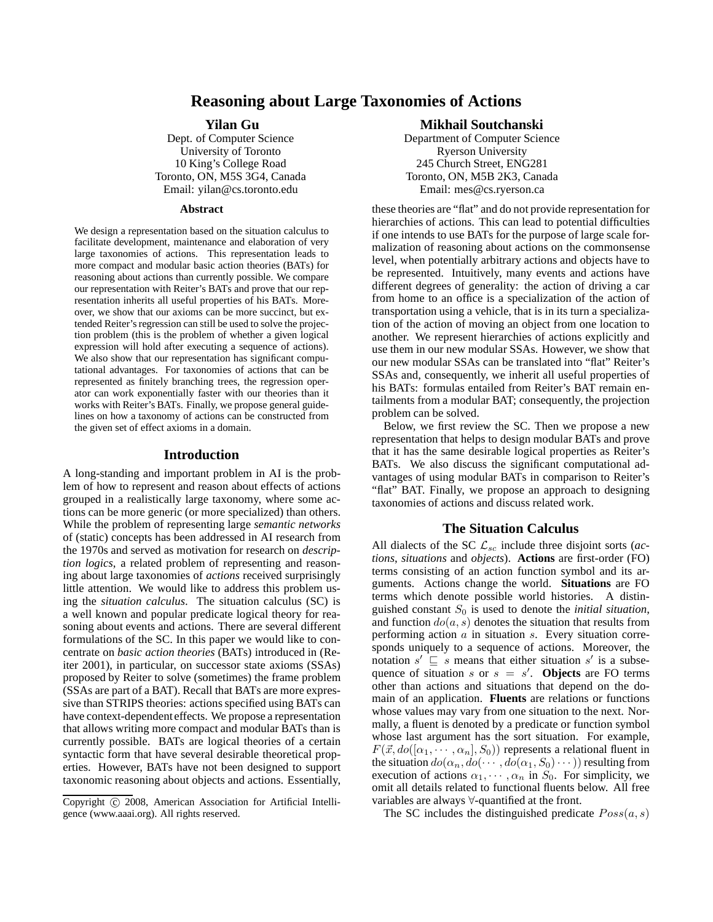# **Reasoning about Large Taxonomies of Actions**

#### **Yilan Gu**

Dept. of Computer Science University of Toronto 10 King's College Road Toronto, ON, M5S 3G4, Canada Email: yilan@cs.toronto.edu

#### **Abstract**

We design a representation based on the situation calculus to facilitate development, maintenance and elaboration of very large taxonomies of actions. This representation leads to more compact and modular basic action theories (BATs) for reasoning about actions than currently possible. We compare our representation with Reiter's BATs and prove that our representation inherits all useful properties of his BATs. Moreover, we show that our axioms can be more succinct, but extended Reiter's regression can still be used to solve the projection problem (this is the problem of whether a given logical expression will hold after executing a sequence of actions). We also show that our representation has significant computational advantages. For taxonomies of actions that can be represented as finitely branching trees, the regression operator can work exponentially faster with our theories than it works with Reiter's BATs. Finally, we propose general guidelines on how a taxonomy of actions can be constructed from the given set of effect axioms in a domain.

#### **Introduction**

A long-standing and important problem in AI is the problem of how to represent and reason about effects of actions grouped in a realistically large taxonomy, where some actions can be more generic (or more specialized) than others. While the problem of representing large *semantic networks* of (static) concepts has been addressed in AI research from the 1970s and served as motivation for research on *description logics*, a related problem of representing and reasoning about large taxonomies of *actions* received surprisingly little attention. We would like to address this problem using the *situation calculus*. The situation calculus (SC) is a well known and popular predicate logical theory for reasoning about events and actions. There are several different formulations of the SC. In this paper we would like to concentrate on *basic action theories* (BATs) introduced in (Reiter 2001), in particular, on successor state axioms (SSAs) proposed by Reiter to solve (sometimes) the frame problem (SSAs are part of a BAT). Recall that BATs are more expressive than STRIPS theories: actions specified using BATs can have context-dependenteffects. We propose a representation that allows writing more compact and modular BATs than is currently possible. BATs are logical theories of a certain syntactic form that have several desirable theoretical properties. However, BATs have not been designed to support taxonomic reasoning about objects and actions. Essentially,

#### **Mikhail Soutchanski**

Department of Computer Science Ryerson University 245 Church Street, ENG281 Toronto, ON, M5B 2K3, Canada Email: mes@cs.ryerson.ca

these theories are "flat" and do not provide representation for hierarchies of actions. This can lead to potential difficulties if one intends to use BATs for the purpose of large scale formalization of reasoning about actions on the commonsense level, when potentially arbitrary actions and objects have to be represented. Intuitively, many events and actions have different degrees of generality: the action of driving a car from home to an office is a specialization of the action of transportation using a vehicle, that is in its turn a specialization of the action of moving an object from one location to another. We represent hierarchies of actions explicitly and use them in our new modular SSAs. However, we show that our new modular SSAs can be translated into "flat" Reiter's SSAs and, consequently, we inherit all useful properties of his BATs: formulas entailed from Reiter's BAT remain entailments from a modular BAT; consequently, the projection problem can be solved.

Below, we first review the SC. Then we propose a new representation that helps to design modular BATs and prove that it has the same desirable logical properties as Reiter's BATs. We also discuss the significant computational advantages of using modular BATs in comparison to Reiter's "flat" BAT. Finally, we propose an approach to designing taxonomies of actions and discuss related work.

#### **The Situation Calculus**

All dialects of the SC  $\mathcal{L}_{sc}$  include three disjoint sorts (*actions*, *situations* and *objects*). **Actions** are first-order (FO) terms consisting of an action function symbol and its arguments. Actions change the world. **Situations** are FO terms which denote possible world histories. A distinguished constant  $S_0$  is used to denote the *initial situation*, and function  $do(a, s)$  denotes the situation that results from performing action  $a$  in situation  $s$ . Every situation corresponds uniquely to a sequence of actions. Moreover, the notation  $s' \subseteq s$  means that either situation s' is a subsequence of situation s or  $s = s'$ . **Objects** are FO terms other than actions and situations that depend on the domain of an application. **Fluents** are relations or functions whose values may vary from one situation to the next. Normally, a fluent is denoted by a predicate or function symbol whose last argument has the sort situation. For example,  $F(\vec{x}, do([\alpha_1, \cdots, \alpha_n], S_0))$  represents a relational fluent in the situation  $do(\alpha_n, do(\cdots, do(\alpha_1, S_0) \cdots))$  resulting from execution of actions  $\alpha_1, \cdots, \alpha_n$  in  $S_0$ . For simplicity, we omit all details related to functional fluents below. All free variables are always ∀-quantified at the front.

The SC includes the distinguished predicate  $Poss(a, s)$ 

Copyright (c) 2008, American Association for Artificial Intelligence (www.aaai.org). All rights reserved.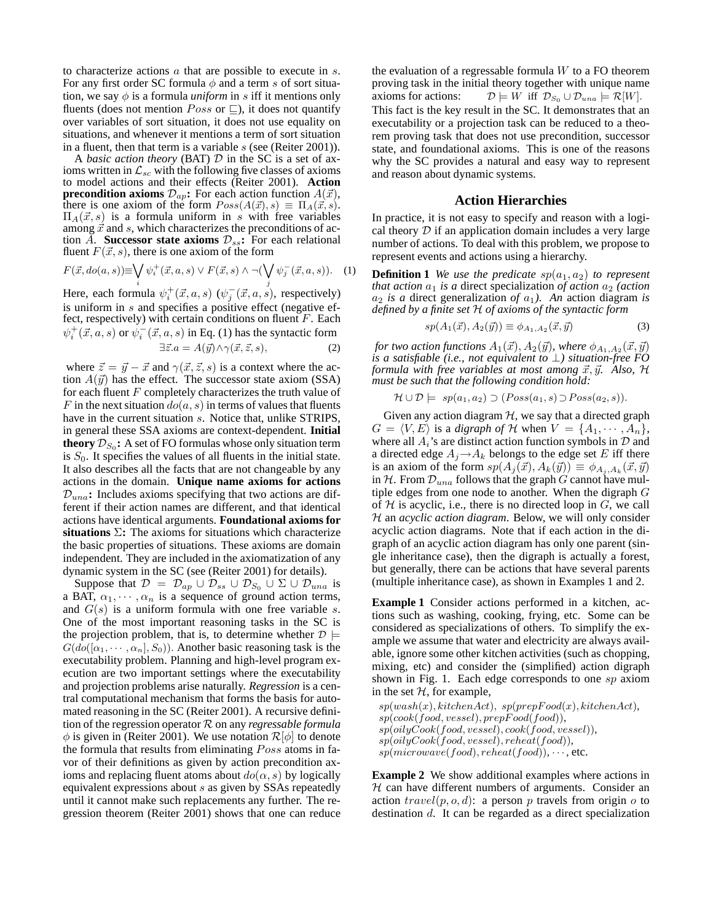to characterize actions a that are possible to execute in s. For any first order SC formula  $\phi$  and a term s of sort situation, we say  $\phi$  is a formula *uniform* in s iff it mentions only fluents (does not mention  $Poss$  or  $\sqsubseteq$ ), it does not quantify over variables of sort situation, it does not use equality on situations, and whenever it mentions a term of sort situation in a fluent, then that term is a variable s (see (Reiter 2001)).

A *basic action theory* (BAT) D in the SC is a set of axioms written in  $\mathcal{L}_{sc}$  with the following five classes of axioms to model actions and their effects (Reiter 2001). **Action precondition axioms**  $\mathcal{D}_{ap}$ : For each action function  $A(\vec{x})$ , there is one axiom of the form  $Poss(A(\vec{x}), s) \equiv \Pi_A(\vec{x}, s)$ .  $\Pi_A(\vec{x}, s)$  is a formula uniform in s with free variables among  $\vec{x}$  and s, which characterizes the preconditions of action A. **Successor state axioms**  $\mathcal{D}_{ss}$ **:** For each relational fluent  $F(\vec{x}, s)$ , there is one axiom of the form

$$
F(\vec{x}, do(a, s)) \equiv \bigvee_i \psi_i^+(\vec{x}, a, s) \lor F(\vec{x}, s) \land \neg(\bigvee_j \psi_j^-(\vec{x}, a, s)). \quad (1)
$$

Here, each formula  $\psi_i^+(\vec{x}, a, s)$  ( $\psi_j^ \overline{j}(\vec{x}, a, s)$ , respectively) is uniform in s and specifies a positive effect (negative effect, respectively) with certain conditions on fluent  $F$ . Each  $\psi_i^+(\vec{x}, a, s)$  or  $\psi_i^ \overline{i}(\vec{x}, a, s)$  in Eq. (1) has the syntactic form  $\exists \vec{z}.a = A(\vec{y}) \land \gamma(\vec{x}, \vec{z}, s),$  (2)

where 
$$
\vec{z} = \vec{y} - \vec{x}
$$
 and  $\gamma(\vec{x}, \vec{z}, s)$  is a context where the ac-  
tion  $A(\vec{y})$  has the effect. The successor state axiom (SSA)  
for each fluent *F* completely characterizes the truth value of  
*F* in the next situation  $do(a, s)$  in terms of values that fluents  
have in the current situation *s*. Notice that, unlike STRIPS,  
in general these SSA axioms are context-dependent. **Initial**  
**theory**  $\mathcal{D}_{S_0}$ : A set of FO formulas whose only situation term  
is  $S_0$ . It specifies the values of all fluents in the initial state.  
It also describes all the facts that are not changeable by any  
actions in the domain. **Unique name axioms for actions**  
 $\mathcal{D}_{una}$ : Includes axioms specifying that two actions are dif-  
ferent if their action names are different, and that identical  
actions have identical arguments. **Foundational axioms for**  
**situations**  $\Sigma$ : The axioms for situations which characterize  
the basic properties of situations. These axioms are domain  
independent. They are included in the axiomatization of any

dynamic system in the SC (see (Reiter 2001) for details).

Suppose that  $\mathcal{D} = \mathcal{D}_{ap} \cup \mathcal{D}_{ss} \cup \mathcal{D}_{S_0} \cup \Sigma \cup \mathcal{D}_{una}$  is a BAT,  $\alpha_1, \cdots, \alpha_n$  is a sequence of ground action terms, and  $G(s)$  is a uniform formula with one free variable s. One of the most important reasoning tasks in the SC is the projection problem, that is, to determine whether  $\mathcal{D} \models$  $G(d\text{o}([\alpha_1, \cdots, \alpha_n], S_0))$ . Another basic reasoning task is the executability problem. Planning and high-level program execution are two important settings where the executability and projection problems arise naturally. *Regression* is a central computational mechanism that forms the basis for automated reasoning in the SC (Reiter 2001). A recursive definition of the regression operator R on any *regressable formula*  $\phi$  is given in (Reiter 2001). We use notation  $\mathcal{R}[\phi]$  to denote the formula that results from eliminating Poss atoms in favor of their definitions as given by action precondition axioms and replacing fluent atoms about  $do(\alpha, s)$  by logically equivalent expressions about s as given by SSAs repeatedly until it cannot make such replacements any further. The regression theorem (Reiter 2001) shows that one can reduce

the evaluation of a regressable formula  $W$  to a FO theorem proving task in the initial theory together with unique name axioms for actions:  $\mathcal{D} \models W$  iff  $\mathcal{D}_{S_0} \cup \mathcal{D}_{una} \models \mathcal{R}[W]$ . This fact is the key result in the SC. It demonstrates that an executability or a projection task can be reduced to a theorem proving task that does not use precondition, successor state, and foundational axioms. This is one of the reasons why the SC provides a natural and easy way to represent and reason about dynamic systems.

#### **Action Hierarchies**

In practice, it is not easy to specify and reason with a logical theory  $D$  if an application domain includes a very large number of actions. To deal with this problem, we propose to represent events and actions using a hierarchy.

**Definition 1** *We use the predicate*  $sp(a_1, a_2)$  *to represent that action*  $a_1$  *is a* direct specialization *of action*  $a_2$  *(action*  $a_2$  *is a* direct generalization *of*  $a_1$ *). An* action diagram *is defined by a finite set* H *of axioms of the syntactic form*

$$
sp(A_1(\vec{x}), A_2(\vec{y})) \equiv \phi_{A_1, A_2}(\vec{x}, \vec{y}) \tag{3}
$$

for two action functions  $A_1(\vec{x}), A_2(\vec{y}),$  where  $\phi_{A_1,A_2}(\vec{x},\vec{y})$ *is a satisfiable (i.e., not equivalent to* ⊥*) situation-free FO formula with free variables at most among*  $\vec{x}, \vec{y}$ . Also,  $\mathcal{H}$ *must be such that the following condition hold:*

$$
\mathcal{H} \cup \mathcal{D} \models \; sp(a_1, a_2) \supset (Poss(a_1, s) \supset Poss(a_2, s)).
$$

Given any action diagram  $H$ , we say that a directed graph  $G = \langle V, E \rangle$  is a *digraph of* H when  $V = \{A_1, \dots, A_n\},\$ where all  $A_i$ 's are distinct action function symbols in  $D$  and a directed edge  $A_j \rightarrow A_k$  belongs to the edge set E iff there is an axiom of the form  $sp(A_j(\vec{x}), A_k(\vec{y})) \equiv \phi_{A_j, A_k}(\vec{x}, \vec{y})$ in  $H$ . From  $\mathcal{D}_{una}$  follows that the graph G cannot have multiple edges from one node to another. When the digraph G of  $H$  is acyclic, i.e., there is no directed loop in  $G$ , we call H an *acyclic action diagram*. Below, we will only consider acyclic action diagrams. Note that if each action in the digraph of an acyclic action diagram has only one parent (single inheritance case), then the digraph is actually a forest, but generally, there can be actions that have several parents (multiple inheritance case), as shown in Examples 1 and 2.

**Example 1** Consider actions performed in a kitchen, actions such as washing, cooking, frying, etc. Some can be considered as specializations of others. To simplify the example we assume that water and electricity are always available, ignore some other kitchen activities (such as chopping, mixing, etc) and consider the (simplified) action digraph shown in Fig. 1. Each edge corresponds to one sp axiom in the set  $H$ , for example,

 $sp(wash(x),kitchenAct), sp(prepFood(x),kitchenAct),$  $sp(cook(food, vessel),prepFood(food)),$  $\{sp(olyCook(food, vessel), cosk(food, vessel)),$  $sp(oily Cook(food, vessel), reheat(food)),$  $sp(microwave(food),reheat(food)), \cdots, etc.$ 

**Example 2** We show additional examples where actions in  $H$  can have different numbers of arguments. Consider an action  $travel(p, o, d)$ : a person p travels from origin o to destination d. It can be regarded as a direct specialization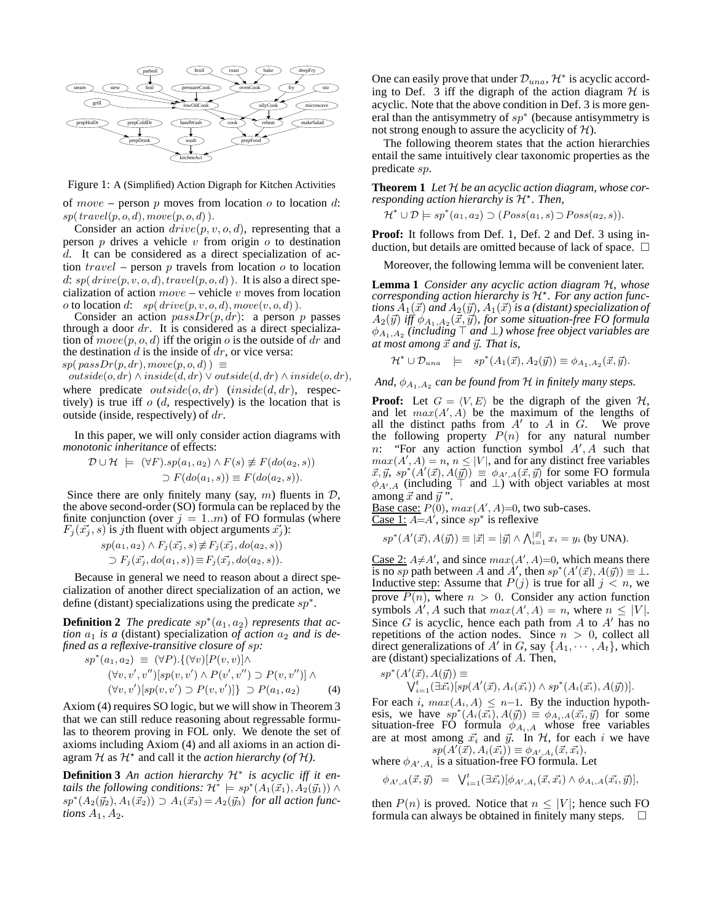

Figure 1: A (Simplified) Action Digraph for Kitchen Activities

of  $move - person p$  moves from location  $o$  to location  $d$ :  $sp(\mathit{travel}(p, o, d), move(p, o, d))$ .

Consider an action  $drive(p, v, o, d)$ , representing that a person  $p$  drives a vehicle  $v$  from origin  $o$  to destination d. It can be considered as a direct specialization of action  $travel$  – person  $p$  travels from location  $o$  to location d:  $sp(drive(p, v, o, d), travel(p, o, d))$ . It is also a direct specialization of action  $move -$  vehicle  $v$  moves from location o to location d:  $sp(drive(p, v, o, d), move(v, o, d))$ .

Consider an action  $passDr(p, dr)$ : a person p passes through a door  $dr$ . It is considered as a direct specialization of  $move(p, o, d)$  iff the origin o is the outside of dr and the destination  $d$  is the inside of  $dr$ , or vice versa:

 $sp(\text{passDr}(p, dr), \text{move}(p, o, d)) \equiv$ 

 $outside(o, dr) \land inside(d, dr) \lor outside(d, dr) \land inside(o, dr),$ where predicate  $outside(o, dr)$   $(inside(d, dr),$  respectively) is true iff  $o(d,$  respectively) is the location that is outside (inside, respectively) of  $dr$ .

In this paper, we will only consider action diagrams with *monotonic inheritance* of effects:

$$
\mathcal{D} \cup \mathcal{H} \models (\forall F).sp(a_1, a_2) \land F(s) \not\equiv F(do(a_2, s))
$$
  

$$
\supset F(do(a_1, s)) \equiv F(do(a_2, s)).
$$

Since there are only finitely many (say,  $m$ ) fluents in  $D$ , the above second-order (SO) formula can be replaced by the finite conjunction (over  $j = 1..m$ ) of FO formulas (where  $F_j(\vec{x_j}, s)$  is jth fluent with object arguments  $\vec{x_j}$ ):

$$
sp(a_1, a_2) \wedge F_j(\vec{x_j}, s) \not\equiv F_j(\vec{x_j}, do(a_2, s))
$$
  
\n
$$
\supset F_j(\vec{x_j}, do(a_1, s)) \equiv F_j(\vec{x_j}, do(a_2, s)).
$$

Because in general we need to reason about a direct specialization of another direct specialization of an action, we define (distant) specializations using the predicate  $sp^*$ .

**Definition 2** *The predicate*  $sp^*(a_1, a_2)$  *represents that action*  $a_1$  *is a* (distant) specialization *of action*  $a_2$  *and is defined as a reflexive-transitive closure of* sp*:*

$$
sp^*(a_1, a_2) \equiv (\forall P) \cdot \{ (\forall v) [P(v, v)] \land (\forall v, v', v'') [sp(v, v') \land P(v', v'') \supset P(v, v'')] \land (\forall v, v') [sp(v, v') \supset P(v, v')] \supset P(a_1, a_2)
$$
 (4)

Axiom (4) requires SO logic, but we will show in Theorem 3 that we can still reduce reasoning about regressable formulas to theorem proving in FOL only. We denote the set of axioms including Axiom (4) and all axioms in an action diagram  $H$  as  $H^*$  and call it the *action hierarchy (of*  $H$ ).

**Definition 3** *An action hierarchy* H<sup>∗</sup> *is acyclic iff it entails the following conditions:*  $\mathcal{H}^*$   $\models sp^*(A_1(\vec{x}_1), A_2(\vec{y}_1)) \land$  $sp^*(A_2(\vec{y}_2), A_1(\vec{x}_2)) \supset A_1(\vec{x}_3) = A_2(\vec{y}_3)$  *for all action functions*  $A_1, A_2$ *.* 

One can easily prove that under  $\mathcal{D}_{una}$ ,  $\mathcal{H}^*$  is acyclic according to Def. 3 iff the digraph of the action diagram  $H$  is acyclic. Note that the above condition in Def. 3 is more general than the antisymmetry of  $sp^*$  (because antisymmetry is not strong enough to assure the acyclicity of  $H$ ).

The following theorem states that the action hierarchies entail the same intuitively clear taxonomic properties as the predicate sp.

**Theorem 1** *Let* H *be an acyclic action diagram, whose cor*responding action hierarchy is  $\mathcal{H}^*$ . Then,

 $\mathcal{H}^* \cup \mathcal{D} \models sp^*(a_1, a_2) \supset (Poss(a_1, s) \supset Poss(a_2, s)).$ 

**Proof:** It follows from Def. 1, Def. 2 and Def. 3 using induction, but details are omitted because of lack of space.  $\Box$ 

Moreover, the following lemma will be convenient later.

**Lemma 1** *Consider any acyclic action diagram* H*, whose corresponding action hierarchy is* H<sup>⋆</sup> *. For any action functions*  $\overline{A}_1(\vec{x})$  *and*  $A_2(\vec{y})$ *,*  $A_1(\vec{x})$  *is a (distant) specialization of*  $A_2(\vec{y})$  iff  $\phi_{A_1,A_2}(\vec{x},\vec{y})$ , for some situation-free FO formula φ<sup>A</sup>1,A<sup>2</sup> *(including* ⊤ *and* ⊥*) whose free object variables are*  $at most among  $\vec{x}$  and  $\vec{y}$ . That is,$ 

$$
\mathcal{H}^{\star} \cup \mathcal{D}_{una} \models sp^{\ast}(A_1(\vec{x}), A_2(\vec{y})) \equiv \phi_{A_1, A_2}(\vec{x}, \vec{y}).
$$

And,  $\phi_{A_1, A_2}$  can be found from  $\mathcal H$  *in finitely many steps.* 

**Proof:** Let  $G = \langle V, E \rangle$  be the digraph of the given  $H$ , and let  $max(A', A)$  be the maximum of the lengths of all the distinct paths from  $A'$  to  $A$  in  $G$ . We prove the following property  $P(n)$  for any natural number  $n$ : "For any action function symbol  $A'$ ,  $A$  such that  $max(A', A) = n, n \leq |V|$ , and for any distinct free variables  $\vec{x}, \vec{y}, sp^*(A'(\vec{x}), A(\vec{y})) \equiv \phi_{A',A}(\vec{x}, \vec{y})$  for some FO formula  $\phi_{A',A}$  (including  $\top$  and  $\bot$ ) with object variables at most among  $\vec{x}$  and  $\vec{y}$  ".

Base case:  $P(0)$ ,  $max(A', A)=0$ , two sub-cases.  $\frac{\text{Case 1: }}{4}$ , since  $sp^*$  is reflexive

$$
sp^*(A'(\vec{x}), A(\vec{y})) \equiv |\vec{x}| = |\vec{y}| \wedge \bigwedge_{i=1}^{|\vec{x}|} x_i = y_i \text{ (by UNA)}.
$$

Case 2:  $A \neq A'$ , and since  $max(A', A)=0$ , which means there is no sp path between A and A', then  $sp^*(A'(\vec{x}), A(\vec{y})) \equiv \bot$ . Inductive step: Assume that  $P(j)$  is true for all  $j < n$ , we prove  $P(n)$ , where  $n > 0$ . Consider any action function symbols  $A'$ , A such that  $max(A', A) = n$ , where  $n \leq |V|$ . Since  $G$  is acyclic, hence each path from  $A$  to  $A'$  has no repetitions of the action nodes. Since  $n > 0$ , collect all direct generalizations of A' in G, say  $\{A_1, \dots, A_t\}$ , which are (distant) specializations of A. Then,

$$
sp^*(A'(\vec{x}), A(\vec{y})) \equiv \nabla^*_{i=1}(\exists \vec{x_i})[sp(A'(\vec{x}), A_i(\vec{x_i})) \wedge sp^*(A_i(\vec{x_i}), A(\vec{y}))].
$$

For each i,  $max(A_i, A) \leq n-1$ . By the induction hypothesis, we have  $sp^*(A_i(\vec{x_i}), A(\vec{y})) \equiv \phi_{A_i,A}(\vec{x_i}, \vec{y})$  for some situation-free FO formula  $\phi_{A_i,A}$  whose free variables are at most among  $\vec{x_i}$  and  $\vec{y}$ . In  $H$ , for each i we have  $sp(A'(\vec{x}), A_i(\vec{x_i})) \equiv \phi_{A',A_i}(\vec{x}, \vec{x_i}),$ 

where  $\phi_{A',A_i}$  is a situation-free FO formula. Let

$$
\phi_{A',A}(\vec{x}, \vec{y}) = \bigvee_{i=1}^{t} (\exists \vec{x_i}) [\phi_{A',A_i}(\vec{x}, \vec{x_i}) \wedge \phi_{A_i,A}(\vec{x_i}, \vec{y})],
$$

then  $P(n)$  is proved. Notice that  $n \leq |V|$ ; hence such FO formula can always be obtained in finitely many steps.  $\Box$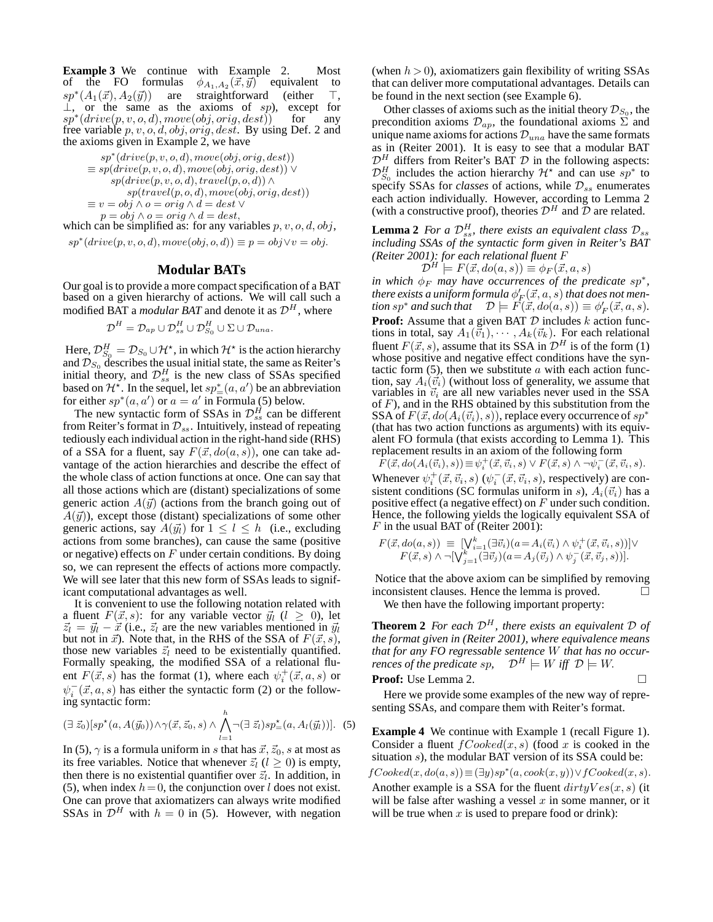**Example 3** We continue with Example 2. Most of the FO formulas  $\phi_{A_1,A_2}(\vec{x}, \vec{y})$  equivalent to  $sp^*(A_1(\vec{x}), A_2(\vec{y}))$  are straightforward (either ⊤,  $\perp$ , or the same as the axioms of sp), except for  $s_p*(drive(p, v, o, d), move(obj, orig, dest))$  for any free variable  $p, v, o, d, obj, orig, dest.$  By using Def. 2 and the axioms given in Example 2, we have

$$
sp^*(drive(p, v, o, d), move(obj, orig, dest))
$$
  
\n
$$
\equiv sp(drive(p, v, o, d), move(obj, orig, dest)) \vee
$$
  
\n
$$
sp(drive(p, v, o, d), travel(p, o, d)) \wedge
$$
  
\n
$$
sp(travel(p, o, d), move(obj, orig, dest))
$$
  
\n
$$
\equiv v = obj \wedge o = orig \wedge d = dest \vee
$$
  
\n
$$
p = obj \wedge o = orig \wedge d = dest,
$$

which can be simplified as: for any variables  $p, v, o, d, obj$ ,  $sp^*(drive(p, v, o, d), move(obj, o, d)) \equiv p = obj \lor v = obj.$ 

#### **Modular BATs**

Our goal is to provide a more compact specification of a BAT based on a given hierarchy of actions. We will call such a modified BAT a *modular BAT* and denote it as  $\mathcal{D}^H$ , where

$$
\mathcal{D}^H = \mathcal{D}_{ap} \cup \mathcal{D}_{ss}^H \cup \mathcal{D}_{S_0}^H \cup \Sigma \cup \mathcal{D}_{una}.
$$

Here,  $\mathcal{D}_{S_0}^H = \mathcal{D}_{S_0} \cup \mathcal{H}^\star$ , in which  $\mathcal{H}^\star$  is the action hierarchy and  $\mathcal{D}_{S_0}$  describes the usual initial state, the same as Reiter's initial theory, and  $\mathcal{D}_{ss}^H$  is the new class of SSAs specified based on  $\mathcal{H}^*$ . In the sequel, let  $sp^*_{=}(\alpha,\alpha')$  be an abbreviation for either  $sp^*(a, a')$  or  $a = a'$  in Formula (5) below.

The new syntactic form of SSAs in  $\mathcal{D}_{ss}^H$  can be different from Reiter's format in  $\mathcal{D}_{ss}$ . Intuitively, instead of repeating tediously each individual action in the right-hand side (RHS) of a SSA for a fluent, say  $F(\vec{x}, do(a, s))$ , one can take advantage of the action hierarchies and describe the effect of the whole class of action functions at once. One can say that all those actions which are (distant) specializations of some generic action  $A(\vec{y})$  (actions from the branch going out of  $A(\vec{y})$ , except those (distant) specializations of some other generic actions, say  $A(\vec{y}_l)$  for  $1 \leq l \leq h$  (i.e., excluding actions from some branches), can cause the same (positive or negative) effects on  $F$  under certain conditions. By doing so, we can represent the effects of actions more compactly. We will see later that this new form of SSAs leads to significant computational advantages as well.

It is convenient to use the following notation related with a fluent  $F(\vec{x}, s)$ : for any variable vector  $\vec{y}_l$  ( $l \geq 0$ ), let  $\vec{z}_l = \vec{y}_l - \vec{x}$  (i.e.,  $\vec{z}_l$  are the new variables mentioned in  $\vec{y}_l$ ) but not in  $\vec{x}$ ). Note that, in the RHS of the SSA of  $F(\vec{x}, s)$ , those new variables  $\vec{z}_l$  need to be existentially quantified. Formally speaking, the modified SSA of a relational fluent  $F(\vec{x}, s)$  has the format (1), where each  $\psi_i^+(\vec{x}, a, s)$  or  $\psi_i^ \overline{i}(\vec{x}, a, s)$  has either the syntactic form (2) or the following syntactic form:

$$
(\exists \vec{z}_0)[sp^{\star}(a, A(\vec{y}_0)) \wedge \gamma(\vec{x}, \vec{z}_0, s) \wedge \bigwedge_{l=1}^h \neg (\exists \vec{z}_l) sp^{\star}_{=}(a, A_l(\vec{y}_l))]. \tag{5}
$$

In (5),  $\gamma$  is a formula uniform in s that has  $\vec{x}, \vec{z}_0$ , s at most as its free variables. Notice that whenever  $\vec{z}_l$  ( $l \geq 0$ ) is empty, then there is no existential quantifier over  $\vec{z}_l$ . In addition, in (5), when index  $h = 0$ , the conjunction over l does not exist. One can prove that axiomatizers can always write modified SSAs in  $D^H$  with  $h = 0$  in (5). However, with negation (when  $h > 0$ ), axiomatizers gain flexibility of writing SSAs that can deliver more computational advantages. Details can be found in the next section (see Example 6).

Other classes of axioms such as the initial theory  $\mathcal{D}_{S_0}$ , the precondition axioms  $\mathcal{D}_{ap}$ , the foundational axioms  $\Sigma$  and unique name axioms for actions  $\mathcal{D}_{una}$  have the same formats as in (Reiter 2001). It is easy to see that a modular BAT  $\mathcal{D}^H$  differs from Reiter's BAT  $\mathcal D$  in the following aspects:  $\mathcal{D}_{S_0}^H$  includes the action hierarchy  $\mathcal{H}^*$  and can use  $sp^*$  to specify SSAs for *classes* of actions, while  $\mathcal{D}_{ss}$  enumerates each action individually. However, according to Lemma 2 (with a constructive proof), theories  $\mathcal{D}^H$  and  $\tilde{\mathcal{D}}$  are related.

**Lemma 2** *For a*  $\mathcal{D}_{ss}^H$ , there exists an equivalent class  $\mathcal{D}_{ss}$ *including SSAs of the syntactic form given in Reiter's BAT (Reiter 2001): for each relational fluent* F

$$
\mathcal{D}^H \models F(\vec{x}, do(a, s)) \equiv \phi_F(\vec{x}, a, s)
$$

*in which*  $\phi_F$  *may have occurrences of the predicate sp<sup>\*</sup>,* there exists a uniform formula  $\phi_F'(\vec x, a, s)$  that does not men*tion*  $sp^*$  *and such that*  $\mathcal{D} \models F(\vec{x}, do(a, s)) \equiv \phi'_F(\vec{x}, a, s)$ *.* **Proof:** Assume that a given BAT  $D$  includes  $k$  action functions in total, say  $A_1(\vec{v}_1), \cdots, A_k(\vec{v}_k)$ . For each relational fluent  $F(\vec{x}, s)$ , assume that its SSA in  $\mathcal{D}^H$  is of the form (1) whose positive and negative effect conditions have the syntactic form  $(5)$ , then we substitute  $a$  with each action function, say  $A_i(\vec{v}_i)$  (without loss of generality, we assume that variables in  $\vec{v}_i$  are all new variables never used in the SSA of  $F$ ), and in the RHS obtained by this substitution from the SSA of  $F(\vec{x}, do(A_i(\vec{v}_i), s))$ , replace every occurrence of  $sp^*$ (that has two action functions as arguments) with its equivalent FO formula (that exists according to Lemma 1). This replacement results in an axiom of the following form

 $F(\vec{x}, do(A_i(\vec{v}_i), s)) \equiv \psi_i^+(\vec{x}, \vec{v}_i, s) \lor F(\vec{x}, s) \land \neg \psi_i^-(\vec{x}, \vec{v}_i, s).$ Whenever  $\psi_i^+(\vec{x}, \vec{v}_i, s)$   $(\psi_i^-)$  $\bar{i}^-(\vec{x}, \vec{v}_i, s)$ , respectively) are consistent conditions (SC formulas uniform in s),  $A_i(\vec{v}_i)$  has a positive effect (a negative effect) on  $F$  under such condition. Hence, the following yields the logically equivalent SSA of  $F$  in the usual BAT of (Reiter 2001):

$$
F(\vec{x}, do(a, s)) \equiv \left[\bigvee_{i=1}^{k} (\exists \vec{v}_i)(a = A_i(\vec{v}_i) \land \psi_i^+(\vec{x}, \vec{v}_i, s))\right] \lor
$$
  

$$
F(\vec{x}, s) \land \neg \left[\bigvee_{j=1}^{k} (\exists \vec{v}_j)(a = A_j(\vec{v}_j) \land \psi_j^-(\vec{x}, \vec{v}_j, s))\right].
$$

Notice that the above axiom can be simplified by removing inconsistent clauses. Hence the lemma is proved.

We then have the following important property:

**Theorem 2** *For each*  $\mathcal{D}^H$ *, there exists an equivalent*  $\mathcal{D}$  *of the format given in (Reiter 2001), where equivalence means that for any FO regressable sentence* W *that has no occurrences of the predicate sp,*  $\mathcal{D}^H \models W$  *iff*  $\mathcal{D} \models W$ .

**Proof:** Use Lemma 2. 
$$
\Box
$$

Here we provide some examples of the new way of representing SSAs, and compare them with Reiter's format.

**Example 4** We continue with Example 1 (recall Figure 1). Consider a fluent  $fCooked(x, s)$  (food x is cooked in the situation s), the modular BAT version of its SSA could be:

 $fCooked(x, do(a, s)) \equiv (\exists y) sp^*(a, cook(x, y)) \vee fCooked(x, s).$ Another example is a SSA for the fluent  $dirtyVes(x, s)$  (it will be false after washing a vessel  $x$  in some manner, or it will be true when  $x$  is used to prepare food or drink):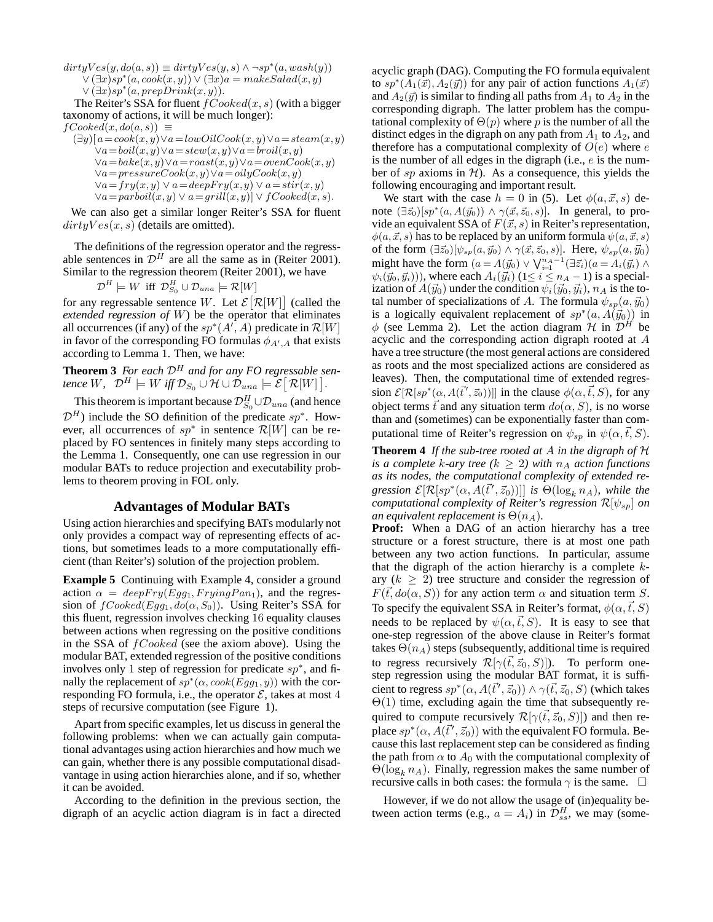$dirtyVes(y, do(a, s)) \equiv dirtyVes(y, s) \wedge \neg sp^*(a, wash(y))$  $\breve{\vee}(\exists x)$ sp $*(a, cook(x, y)) \breve{\vee} (\exists x) a = makeSalad(x, y)$  $\vee (\exists x) s p^*(a, prepDrink(x,y)).$ 

The Reiter's SSA for fluent  $fCooked(x, s)$  (with a bigger taxonomy of actions, it will be much longer):

 $fCooked(x, do(a, s)) \equiv$ 

$$
(\exists y)[a = \cosh(x, y) \lor a = \text{lowOil} \text{Cook}(x, y) \lor a = \text{steam}(x, y)
$$
  
\n
$$
\lor a = \text{boil}(x, y) \lor a = \text{stew}(x, y) \lor a = \text{broll}(x, y)
$$
  
\n
$$
\lor a = \text{bake}(x, y) \lor a = \text{roast}(x, y) \lor a = \text{oven} \text{Cook}(x, y)
$$
  
\n
$$
\lor a = \text{pressure} \text{Cook}(x, y) \lor a = \text{oil} \text{y} \text{Cook}(x, y)
$$
  
\n
$$
\lor a = \text{fry}(x, y) \lor a = \text{deepFry}(x, y) \lor a = \text{stir}(x, y)
$$
  
\n
$$
\lor a = \text{parboil}(x, y) \lor a = \text{grill}(x, y) \lor \text{f} \text{Cooked}(x, s).
$$

We can also get a similar longer Reiter's SSA for fluent  $dirtyVes(x, s)$  (details are omitted).

The definitions of the regression operator and the regressable sentences in  $\mathcal{D}^H$  are all the same as in (Reiter 2001). Similar to the regression theorem (Reiter 2001), we have

$$
\mathcal{D}^H \models W \text{ iff } \mathcal{D}_{S_0}^H \cup \mathcal{D}_{una} \models \mathcal{R}[W]
$$

for any regressable sentence W. Let  $\mathcal{E}[\mathcal{R}[W]]$  (called the *extended regression of* W) be the operator that eliminates all occurrences (if any) of the  $sp^*(A', A)$  predicate in  $\mathcal{R}[W]$ in favor of the corresponding FO formulas  $\phi_{A',A}$  that exists according to Lemma 1. Then, we have:

**Theorem 3** *For each*  $\mathcal{D}^H$  *and for any FO regressable sen* $t$ ence  $W$ ,  $\mathcal{D}^H \models W$  iff  $\mathcal{D}_{S_0} \cup \mathcal{H} \cup \mathcal{D}_{una} \models \mathcal{E} \big[ \, \mathcal{R}[W] \, \big].$ 

This theorem is important because  $\mathcal{D}_{S_0}^H \cup \mathcal{D}_{una}$  (and hence  $\mathcal{D}^H$ ) include the SO definition of the predicate sp<sup>\*</sup>. However, all occurrences of  $sp^*$  in sentence  $\mathcal{R}[W]$  can be replaced by FO sentences in finitely many steps according to the Lemma 1. Consequently, one can use regression in our modular BATs to reduce projection and executability problems to theorem proving in FOL only.

# **Advantages of Modular BATs**

Using action hierarchies and specifying BATs modularly not only provides a compact way of representing effects of actions, but sometimes leads to a more computationally efficient (than Reiter's) solution of the projection problem.

**Example 5** Continuing with Example 4, consider a ground action  $\alpha = deepFry(Eqq_1, FryingPan_1)$ , and the regression of  $fCooked(Egg_1, do(\alpha, S_0))$ . Using Reiter's SSA for this fluent, regression involves checking 16 equality clauses between actions when regressing on the positive conditions in the SSA of  $fCooked$  (see the axiom above). Using the modular BAT, extended regression of the positive conditions involves only 1 step of regression for predicate  $sp^*$ , and finally the replacement of  $sp^*(\alpha, cos(kEgg_1, y))$  with the corresponding FO formula, i.e., the operator  $\mathcal{E}$ , takes at most 4 steps of recursive computation (see Figure 1).

Apart from specific examples, let us discuss in general the following problems: when we can actually gain computational advantages using action hierarchies and how much we can gain, whether there is any possible computational disadvantage in using action hierarchies alone, and if so, whether it can be avoided.

According to the definition in the previous section, the digraph of an acyclic action diagram is in fact a directed

acyclic graph (DAG). Computing the FO formula equivalent to  $sp^*(A_1(\vec{x}), A_2(\vec{y}))$  for any pair of action functions  $A_1(\vec{x})$ and  $A_2(\vec{y})$  is similar to finding all paths from  $A_1$  to  $A_2$  in the corresponding digraph. The latter problem has the computational complexity of  $\Theta(p)$  where p is the number of all the distinct edges in the digraph on any path from  $A_1$  to  $A_2$ , and therefore has a computational complexity of  $O(e)$  where e is the number of all edges in the digraph (i.e.,  $e$  is the number of  $sp$  axioms in  $H$ ). As a consequence, this yields the following encouraging and important result.

We start with the case  $h = 0$  in (5). Let  $\phi(a, \vec{x}, s)$  denote  $(\exists \vec{z}_0)[sp^*(a, A(\vec{y}_0)) \wedge \gamma(\vec{x}, \vec{z}_0, s)]$ . In general, to provide an equivalent SSA of  $F(\vec{x}, s)$  in Reiter's representation,  $\phi(a,\vec{x},s)$  has to be replaced by an uniform formula  $\psi(a,\vec{x},s)$ of the form  $(\exists \vec{z}_0)[\psi_{sp}(a,\vec{y}_0) \wedge \gamma(\vec{x},\vec{z}_0,s)]$ . Here,  $\psi_{sp}(a,\vec{y}_0)$ might have the form  $(a = A(\vec{y}_0) \vee \bigvee_{i=1}^{n_A - 1} (\exists \vec{z}_i)(a = A_i(\vec{y}_i) \wedge$  $\psi_i(\vec{y}_0, \vec{y}_i))$ , where each  $A_i(\vec{y}_i)$  (1 $\leq i \leq n_A - 1$ ) is a specialization of  $A(\vec{y}_0)$  under the condition  $\psi_i(\vec{y}_0, \vec{y}_i)$ ,  $n_A$  is the total number of specializations of A. The formula  $\psi_{sp}(a,\vec{y}_0)$ is a logically equivalent replacement of  $sp^*(a, A(\vec{y}_0))$  in  $\phi$  (see Lemma 2). Let the action diagram  $\mathcal{H}$  in  $\mathcal{D}^H$  be acyclic and the corresponding action digraph rooted at A have a tree structure (the most general actions are considered as roots and the most specialized actions are considered as leaves). Then, the computational time of extended regression  $\mathcal{E}[\mathcal{R}[sp^*(\alpha, A(\vec{t}',\vec{z}_0))]$  in the clause  $\phi(\alpha, \vec{t}, S)$ , for any object terms  $\vec{t}$  and any situation term  $do(\alpha, S)$ , is no worse than and (sometimes) can be exponentially faster than computational time of Reiter's regression on  $\psi_{sp}$  in  $\psi(\alpha, \vec{t}, S)$ .

**Theorem 4** *If the sub-tree rooted at* A *in the digraph of* H *is a complete k-ary tree*  $(k \geq 2)$  *with*  $n_A$  *action functions as its nodes, the computational complexity of extended re* $g$ *ression*  $\mathcal{E}[\mathcal{R}[sp^*(\alpha, A(\vec{t}',\vec{z}_0))]$  *is*  $\Theta(\log_k n_A)$ *, while the computational complexity of Reiter's regression*  $\mathcal{R}[\psi_{sn}]$  *on an equivalent replacement is*  $\Theta(n_A)$ .

**Proof:** When a DAG of an action hierarchy has a tree structure or a forest structure, there is at most one path between any two action functions. In particular, assume that the digraph of the action hierarchy is a complete  $k$ ary  $(k \geq 2)$  tree structure and consider the regression of  $F(\vec{t}, do(\alpha, S))$  for any action term  $\alpha$  and situation term S. To specify the equivalent SSA in Reiter's format,  $\phi(\alpha, \vec{t}, S)$ needs to be replaced by  $\psi(\alpha, \vec{t}, S)$ . It is easy to see that one-step regression of the above clause in Reiter's format takes  $\Theta(n_A)$  steps (subsequently, additional time is required to regress recursively  $\mathcal{R}[\gamma(\vec{t},\vec{z}_0, S)]$ . To perform onestep regression using the modular BAT format, it is sufficient to regress  $sp^*(\alpha, A(\vec{t}', \vec{z}_0)) \wedge \gamma(\vec{t}, \vec{z}_0, S)$  (which takes Θ(1) time, excluding again the time that subsequently required to compute recursively  $\mathcal{R}[\gamma(\vec{t},\vec{z}_0, S)]$  and then replace  $sp^*(\alpha, \vec{A}(\vec{t}', \vec{z}_0))$  with the equivalent FO formula. Because this last replacement step can be considered as finding the path from  $\alpha$  to  $A_0$  with the computational complexity of  $\Theta(\log_k n_A)$ . Finally, regression makes the same number of recursive calls in both cases: the formula  $\gamma$  is the same.  $\Box$ 

However, if we do not allow the usage of (in)equality between action terms (e.g.,  $a = A_i$ ) in  $\overline{\mathcal{D}}_{ss}^H$ , we may (some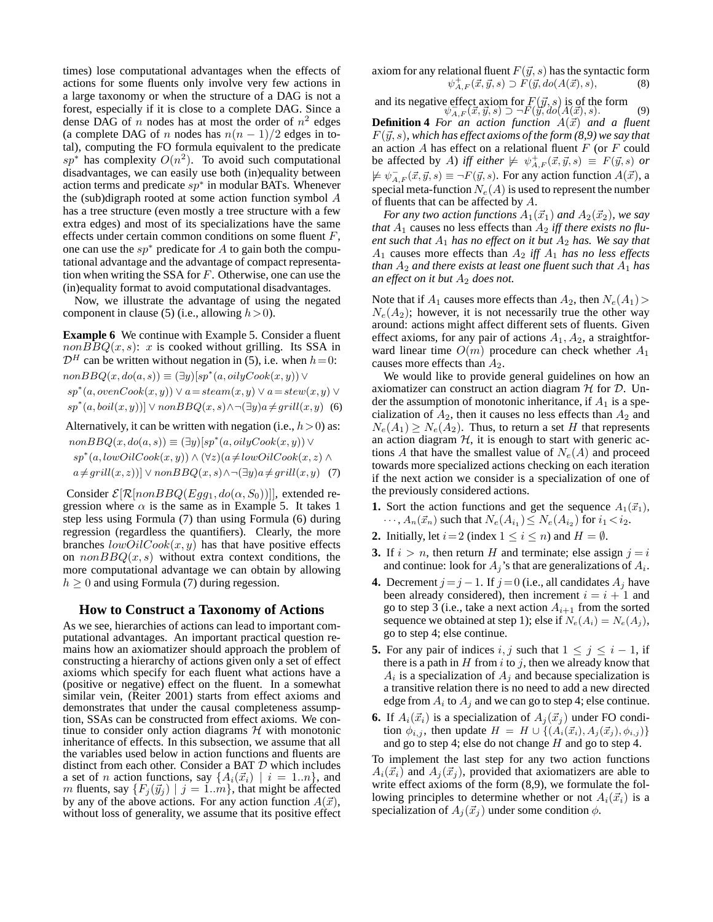times) lose computational advantages when the effects of actions for some fluents only involve very few actions in a large taxonomy or when the structure of a DAG is not a forest, especially if it is close to a complete DAG. Since a dense DAG of  $n$  nodes has at most the order of  $n^2$  edges (a complete DAG of n nodes has  $n(n - 1)/2$  edges in total), computing the FO formula equivalent to the predicate  $sp^*$  has complexity  $O(n^2)$ . To avoid such computational disadvantages, we can easily use both (in)equality between action terms and predicate  $sp^*$  in modular BATs. Whenever the (sub)digraph rooted at some action function symbol  $A$ has a tree structure (even mostly a tree structure with a few extra edges) and most of its specializations have the same effects under certain common conditions on some fluent  $F$ , one can use the  $sp*$  predicate for A to gain both the computational advantage and the advantage of compact representation when writing the SSA for F. Otherwise, one can use the (in)equality format to avoid computational disadvantages.

Now, we illustrate the advantage of using the negated component in clause (5) (i.e., allowing  $h > 0$ ).

**Example 6** We continue with Example 5. Consider a fluent  $nonBBQ(x, s)$ : x is cooked without grilling. Its SSA in  $\mathcal{D}^H$  can be written without negation in (5), i.e. when  $h = 0$ :  $nonBBQ(x, do(a, s)) \equiv (\exists y)[sp^*(a, oily Cook(x, y)) \vee$  $sp^*(a,ovenCook(x, y)) \vee a = steam(x, y) \vee a = stem(x, y) \vee$  $sp^*(a,boil(x,y))] \vee nonBBQ(x,s) \wedge \neg (\exists y)a \neq grill(x,y)$  (6)

Alternatively, it can be written with negation (i.e.,  $h > 0$ ) as:  $nonBBQ(x, do(a, s)) \equiv (\exists y)[sp^*(a, oily Cook(x, y)) \vee$  $sp^*(a, lowOilCook(x, y)) \wedge (\forall z)(a \neq lowOilCook(x, z) \wedge$  $a \neq grill(x, z))$ ]  $\vee nonBBQ(x, s) \wedge \neg (\exists y) a \neq grill(x, y)$  (7)

Consider  $\mathcal{E}[\mathcal{R}[nonBBQ(Egg_1, do(\alpha, S_0))]]$ , extended regression where  $\alpha$  is the same as in Example 5. It takes 1 step less using Formula (7) than using Formula (6) during regression (regardless the quantifiers). Clearly, the more branches  $lowOilCook(x, y)$  has that have positive effects on  $nonBBQ(x, s)$  without extra context conditions, the more computational advantage we can obtain by allowing  $h \geq 0$  and using Formula (7) during regession.

## **How to Construct a Taxonomy of Actions**

As we see, hierarchies of actions can lead to important computational advantages. An important practical question remains how an axiomatizer should approach the problem of constructing a hierarchy of actions given only a set of effect axioms which specify for each fluent what actions have a (positive or negative) effect on the fluent. In a somewhat similar vein, (Reiter 2001) starts from effect axioms and demonstrates that under the causal completeness assumption, SSAs can be constructed from effect axioms. We continue to consider only action diagrams  $H$  with monotonic inheritance of effects. In this subsection, we assume that all the variables used below in action functions and fluents are distinct from each other. Consider a BAT D which includes a set of *n* action functions, say  $\{A_i(\vec{x}_i) | i = 1..n\}$ , and m fluents, say  ${F_j(\vec{y}_j) | j = 1..m}$ , that might be affected by any of the above actions. For any action function  $A(\vec{x})$ , without loss of generality, we assume that its positive effect axiom for any relational fluent  $F(\vec{y}, s)$  has the syntactic form  $\psi_{A,F}^+(\vec{x}, \vec{y}, s) \supset F(\vec{y}, do(A(\vec{x}), s),$  (8)

and its negative effect axiom for  $F(\vec{y}, s)$  is of the form  $\psi_{A,F}(\vec{x}, \vec{y}, s) \supset \neg F(\vec{y}, do(A(\vec{x}), s))$  (9)

**Definition 4** *For an action function*  $A(\vec{x})$  *and a fluent*  $F(\vec{y}, s)$ , which has effect axioms of the form  $(8, 9)$  we say that an action  $A$  has effect on a relational fluent  $F$  (or  $F$  could be affected by A) *iff either*  $\not\models \psi_{A,F}^+(\vec{x}, \vec{y}, s) \equiv F(\vec{y}, s)$  *or*  $\not\models \psi_{A,F}^-(\vec{x}, \vec{y}, s) \equiv \neg F(\vec{y}, s)$ . For any action function  $A(\vec{x})$ , a special meta-function  $N_e(A)$  is used to represent the number of fluents that can be affected by A.

*For any two action functions*  $A_1(\vec{x}_1)$  *and*  $A_2(\vec{x}_2)$ *, we say that*  $A_1$  causes no less effects than  $A_2$  *iff there exists no fluent such that*  $A_1$  *has no effect on it but*  $A_2$  *has. We say that*  $A_1$  causes more effects than  $A_2$  *iff*  $A_1$  *has no less effects than*  $A_2$  *and there exists at least one fluent such that*  $A_1$  *has an effect on it but*  $A_2$  *does not.* 

Note that if  $A_1$  causes more effects than  $A_2$ , then  $N_e(A_1)$  $N_e(A_2)$ ; however, it is not necessarily true the other way around: actions might affect different sets of fluents. Given effect axioms, for any pair of actions  $A_1$ ,  $A_2$ , a straightforward linear time  $O(m)$  procedure can check whether  $A_1$ causes more effects than  $A_2$ .

We would like to provide general guidelines on how an axiomatizer can construct an action diagram  $H$  for  $D$ . Under the assumption of monotonic inheritance, if  $A_1$  is a specialization of  $A_2$ , then it causes no less effects than  $A_2$  and  $N_e(A_1) \geq N_e(A_2)$ . Thus, to return a set H that represents an action diagram  $H$ , it is enough to start with generic actions A that have the smallest value of  $N_e(A)$  and proceed towards more specialized actions checking on each iteration if the next action we consider is a specialization of one of the previously considered actions.

- **1.** Sort the action functions and get the sequence  $A_1(\vec{x}_1)$ ,  $\cdots$ ,  $A_n(\vec{x}_n)$  such that  $N_e(A_{i_1}) \le N_e(A_{i_2})$  for  $i_1 < i_2$ .
- **2.** Initially, let  $i=2$  (index  $1 \leq i \leq n$ ) and  $H = \emptyset$ .
- **3.** If  $i > n$ , then return H and terminate; else assign  $j = i$ and continue: look for  $A_j$ 's that are generalizations of  $A_i$ .
- **4.** Decrement  $j = j 1$ . If  $j = 0$  (i.e., all candidates  $A_j$  have been already considered), then increment  $i = i + 1$  and go to step 3 (i.e., take a next action  $A_{i+1}$  from the sorted sequence we obtained at step 1); else if  $N_e(A_i) = N_e(A_i)$ , go to step 4; else continue.
- **5.** For any pair of indices i, j such that  $1 \leq j \leq i 1$ , if there is a path in  $H$  from i to j, then we already know that  $A_i$  is a specialization of  $A_j$  and because specialization is a transitive relation there is no need to add a new directed edge from  $A_i$  to  $A_j$  and we can go to step 4; else continue.
- **6.** If  $A_i(\vec{x}_i)$  is a specialization of  $A_i(\vec{x}_i)$  under FO condition  $\phi_{i,j}$ , then update  $H = H \cup \{(A_i(\vec{x}_i), A_j(\vec{x}_j), \phi_{i,j})\}$ and go to step 4; else do not change  $H$  and go to step 4.

To implement the last step for any two action functions  $A_i(\vec{x}_i)$  and  $A_j(\vec{x}_j)$ , provided that axiomatizers are able to write effect axioms of the form (8,9), we formulate the following principles to determine whether or not  $A_i(\vec{x}_i)$  is a specialization of  $A_i(\vec{x}_i)$  under some condition  $\phi$ .